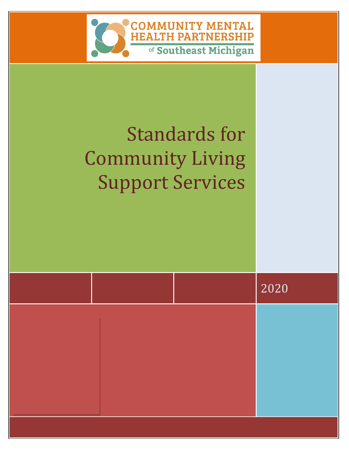

# Standards for Community Living Support Services

|  | 2020 |
|--|------|
|  |      |
|  |      |
|  |      |
|  |      |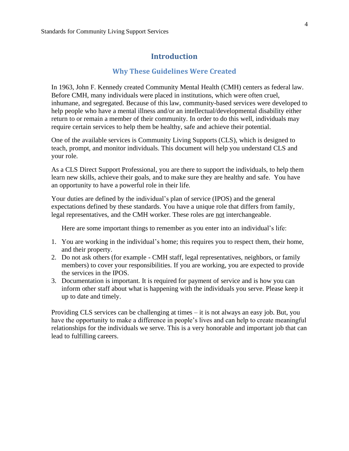## **Introduction**

#### **Why These Guidelines Were Created**

<span id="page-3-1"></span><span id="page-3-0"></span>In 1963, John F. Kennedy created Community Mental Health (CMH) centers as federal law. Before CMH, many individuals were placed in institutions, which were often cruel, inhumane, and segregated. Because of this law, community-based services were developed to help people who have a mental illness and/or an intellectual/developmental disability either return to or remain a member of their community. In order to do this well, individuals may require certain services to help them be healthy, safe and achieve their potential.

One of the available services is Community Living Supports (CLS), which is designed to teach, prompt, and monitor individuals. This document will help you understand CLS and your role.

As a CLS Direct Support Professional, you are there to support the individuals, to help them learn new skills, achieve their goals, and to make sure they are healthy and safe. You have an opportunity to have a powerful role in their life.

Your duties are defined by the individual's plan of service (IPOS) and the general expectations defined by these standards. You have a unique role that differs from family, legal representatives, and the CMH worker. These roles are not interchangeable.

Here are some important things to remember as you enter into an individual's life:

- 1. You are working in the individual's home; this requires you to respect them, their home, and their property.
- 2. Do not ask others (for example CMH staff, legal representatives, neighbors, or family members) to cover your responsibilities. If you are working, you are expected to provide the services in the IPOS.
- 3. Documentation is important. It is required for payment of service and is how you can inform other staff about what is happening with the individuals you serve. Please keep it up to date and timely.

Providing CLS services can be challenging at times – it is not always an easy job. But, you have the opportunity to make a difference in people's lives and can help to create meaningful relationships for the individuals we serve. This is a very honorable and important job that can lead to fulfilling careers.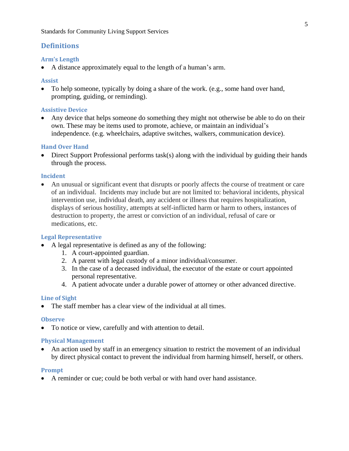## <span id="page-4-0"></span>**Definitions**

#### <span id="page-4-1"></span>**Arm's Length**

• A distance approximately equal to the length of a human's arm.

#### <span id="page-4-2"></span>**Assist**

To help someone, typically by doing a share of the work. (e.g., some hand over hand, prompting, guiding, or reminding).

#### <span id="page-4-3"></span>**Assistive Device**

• Any device that helps someone do something they might not otherwise be able to do on their own. These may be items used to promote, achieve, or maintain an individual's independence. (e.g. wheelchairs, adaptive switches, walkers, communication device).

#### <span id="page-4-4"></span>**Hand Over Hand**

• Direct Support Professional performs task(s) along with the individual by guiding their hands through the process.

#### <span id="page-4-5"></span>**Incident**

• An unusual or significant event that disrupts or poorly affects the course of treatment or care of an individual. Incidents may include but are not limited to: behavioral incidents, physical intervention use, individual death, any accident or illness that requires hospitalization, displays of serious hostility, attempts at self-inflicted harm or harm to others, instances of destruction to property, the arrest or conviction of an individual, refusal of care or medications, etc.

#### <span id="page-4-6"></span>**Legal Representative**

- A legal representative is defined as any of the following:
	- 1. A court-appointed guardian.
	- 2. A parent with legal custody of a minor individual/consumer.
	- 3. In the case of a deceased individual, the executor of the estate or court appointed personal representative.
	- 4. A patient advocate under a durable power of attorney or other advanced directive.

#### <span id="page-4-7"></span>**Line of Sight**

• The staff member has a clear view of the individual at all times.

#### <span id="page-4-8"></span>**Observe**

To notice or view, carefully and with attention to detail.

#### <span id="page-4-9"></span>**Physical Management**

• An action used by staff in an emergency situation to restrict the movement of an individual by direct physical contact to prevent the individual from harming himself, herself, or others.

#### <span id="page-4-10"></span>**Prompt**

• A reminder or cue; could be both verbal or with hand over hand assistance.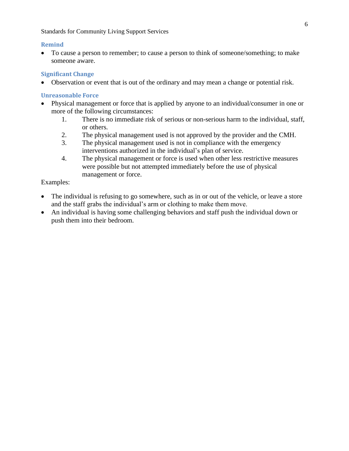#### <span id="page-5-0"></span>**Remind**

• To cause a person to remember; to cause a person to think of someone/something; to make someone aware.

#### <span id="page-5-1"></span>**Significant Change**

<span id="page-5-2"></span>• Observation or event that is out of the ordinary and may mean a change or potential risk.

#### **Unreasonable Force**

- Physical management or force that is applied by anyone to an individual/consumer in one or more of the following circumstances:
	- 1. There is no immediate risk of serious or non-serious harm to the individual, staff, or others.
	- 2. The physical management used is not approved by the provider and the CMH.
	- 3. The physical management used is not in compliance with the emergency interventions authorized in the individual's plan of service.
	- 4. The physical management or force is used when other less restrictive measures were possible but not attempted immediately before the use of physical management or force.

#### Examples:

- The individual is refusing to go somewhere, such as in or out of the vehicle, or leave a store and the staff grabs the individual's arm or clothing to make them move.
- An individual is having some challenging behaviors and staff push the individual down or push them into their bedroom.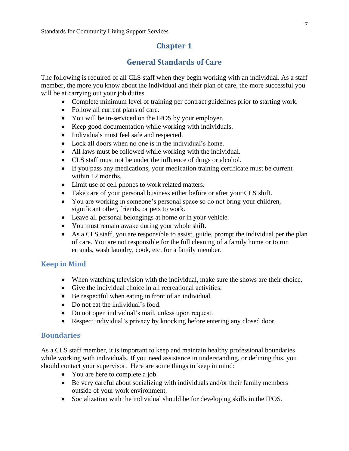## **General Standards of Care**

<span id="page-6-1"></span><span id="page-6-0"></span>The following is required of all CLS staff when they begin working with an individual. As a staff member, the more you know about the individual and their plan of care, the more successful you will be at carrying out your job duties.

- Complete minimum level of training per contract guidelines prior to starting work.
- Follow all current plans of care.
- You will be in-serviced on the IPOS by your employer.
- Keep good documentation while working with individuals.
- Individuals must feel safe and respected.
- Lock all doors when no one is in the individual's home.
- All laws must be followed while working with the individual.
- CLS staff must not be under the influence of drugs or alcohol.
- If you pass any medications, your medication training certificate must be current within 12 months.
- Limit use of cell phones to work related matters.
- Take care of your personal business either before or after your CLS shift.
- You are working in someone's personal space so do not bring your children, significant other, friends, or pets to work.
- Leave all personal belongings at home or in your vehicle.
- You must remain awake during your whole shift.
- As a CLS staff, you are responsible to assist, guide, prompt the individual per the plan of care. You are not responsible for the full cleaning of a family home or to run errands, wash laundry, cook, etc. for a family member.

#### <span id="page-6-2"></span>**Keep in Mind**

- When watching television with the individual, make sure the shows are their choice.
- Give the individual choice in all recreational activities.
- Be respectful when eating in front of an individual.
- Do not eat the individual's food.
- Do not open individual's mail, unless upon request.
- Respect individual's privacy by knocking before entering any closed door.

## <span id="page-6-3"></span>**Boundaries**

As a CLS staff member, it is important to keep and maintain healthy professional boundaries while working with individuals. If you need assistance in understanding, or defining this, you should contact your supervisor. Here are some things to keep in mind:

- You are here to complete a job.
- Be very careful about socializing with individuals and/or their family members outside of your work environment.
- Socialization with the individual should be for developing skills in the IPOS.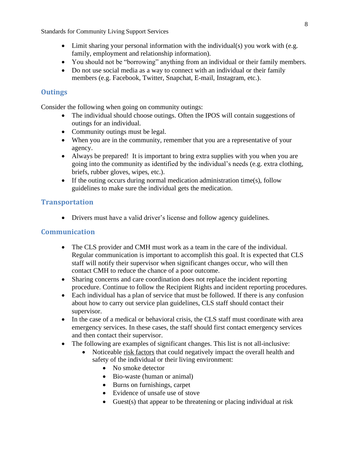Standards for Community Living Support Services

- Limit sharing your personal information with the individual(s) you work with (e.g. family, employment and relationship information).
- You should not be "borrowing" anything from an individual or their family members.
- Do not use social media as a way to connect with an individual or their family members (e.g. Facebook, Twitter, Snapchat, E-mail, Instagram, etc.).

## <span id="page-7-0"></span>**Outings**

Consider the following when going on community outings:

- The individual should choose outings. Often the IPOS will contain suggestions of outings for an individual.
- Community outings must be legal.
- When you are in the community, remember that you are a representative of your agency.
- Always be prepared! It is important to bring extra supplies with you when you are going into the community as identified by the individual's needs (e.g. extra clothing, briefs, rubber gloves, wipes, etc.).
- If the outing occurs during normal medication administration time(s), follow guidelines to make sure the individual gets the medication.

## <span id="page-7-1"></span>**Transportation**

• Drivers must have a valid driver's license and follow agency guidelines.

## <span id="page-7-2"></span>**Communication**

- The CLS provider and CMH must work as a team in the care of the individual. Regular communication is important to accomplish this goal. It is expected that CLS staff will notify their supervisor when significant changes occur, who will then contact CMH to reduce the chance of a poor outcome.
- Sharing concerns and care coordination does not replace the incident reporting procedure. Continue to follow the Recipient Rights and incident reporting procedures.
- Each individual has a plan of service that must be followed. If there is any confusion about how to carry out service plan guidelines, CLS staff should contact their supervisor.
- In the case of a medical or behavioral crisis, the CLS staff must coordinate with area emergency services. In these cases, the staff should first contact emergency services and then contact their supervisor.
- The following are examples of significant changes. This list is not all-inclusive:
	- Noticeable risk factors that could negatively impact the overall health and safety of the individual or their living environment:
		- No smoke detector
		- Bio-waste (human or animal)
		- Burns on furnishings, carpet
		- Evidence of unsafe use of stove
		- Guest(s) that appear to be threatening or placing individual at risk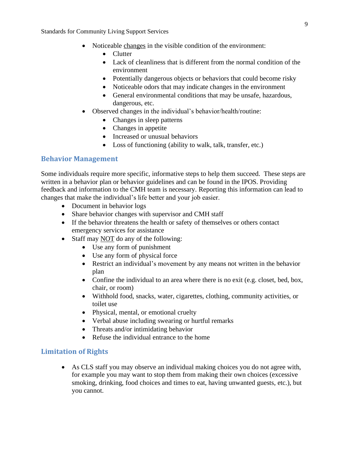- Noticeable changes in the visible condition of the environment:
	- Clutter
	- Lack of cleanliness that is different from the normal condition of the environment
	- Potentially dangerous objects or behaviors that could become risky
	- Noticeable odors that may indicate changes in the environment
	- General environmental conditions that may be unsafe, hazardous, dangerous, etc.
- Observed changes in the individual's behavior/health/routine:
	- Changes in sleep patterns
	- Changes in appetite
	- Increased or unusual behaviors
	- Loss of functioning (ability to walk, talk, transfer, etc.)

#### <span id="page-8-0"></span>**Behavior Management**

Some individuals require more specific, informative steps to help them succeed. These steps are written in a behavior plan or behavior guidelines and can be found in the IPOS. Providing feedback and information to the CMH team is necessary. Reporting this information can lead to changes that make the individual's life better and your job easier.

- Document in behavior logs
- Share behavior changes with supervisor and CMH staff
- If the behavior threatens the health or safety of themselves or others contact emergency services for assistance
- Staff may NOT do any of the following:
	- Use any form of punishment
	- Use any form of physical force
	- Restrict an individual's movement by any means not written in the behavior plan
	- Confine the individual to an area where there is no exit (e.g. closet, bed, box, chair, or room)
	- Withhold food, snacks, water, cigarettes, clothing, community activities, or toilet use
	- Physical, mental, or emotional cruelty
	- Verbal abuse including swearing or hurtful remarks
	- Threats and/or intimidating behavior
	- Refuse the individual entrance to the home

#### <span id="page-8-1"></span>**Limitation of Rights**

• As CLS staff you may observe an individual making choices you do not agree with, for example you may want to stop them from making their own choices (excessive smoking, drinking, food choices and times to eat, having unwanted guests, etc.), but you cannot.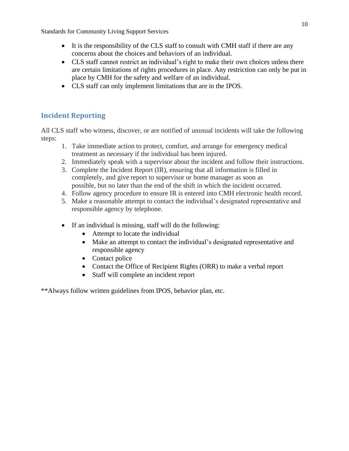Standards for Community Living Support Services

- It is the responsibility of the CLS staff to consult with CMH staff if there are any concerns about the choices and behaviors of an individual.
- CLS staff cannot restrict an individual's right to make their own choices unless there are certain limitations of rights procedures in place. Any restriction can only be put in place by CMH for the safety and welfare of an individual.
- CLS staff can only implement limitations that are in the IPOS.

## <span id="page-9-0"></span>**Incident Reporting**

All CLS staff who witness, discover, or are notified of unusual incidents will take the following steps:

- 1. Take immediate action to protect, comfort, and arrange for emergency medical treatment as necessary if the individual has been injured.
- 2. Immediately speak with a supervisor about the incident and follow their instructions.
- 3. Complete the Incident Report (IR), ensuring that all information is filled in completely, and give report to supervisor or home manager as soon as possible, but no later than the end of the shift in which the incident occurred.
- 4. Follow agency procedure to ensure IR is entered into CMH electronic health record.
- 5. Make a reasonable attempt to contact the individual's designated representative and responsible agency by telephone.
- If an individual is missing, staff will do the following:
	- Attempt to locate the individual
	- Make an attempt to contact the individual's designated representative and responsible agency
	- Contact police
	- Contact the Office of Recipient Rights (ORR) to make a verbal report
	- Staff will complete an incident report

\*\*Always follow written guidelines from IPOS, behavior plan, etc.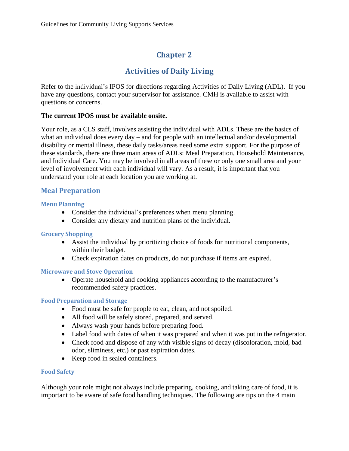# <span id="page-10-1"></span>**Activities of Daily Living**

<span id="page-10-0"></span>Refer to the individual's IPOS for directions regarding Activities of Daily Living (ADL). If you have any questions, contact your supervisor for assistance. CMH is available to assist with questions or concerns.

## **The current IPOS must be available onsite.**

Your role, as a CLS staff, involves assisting the individual with ADLs. These are the basics of what an individual does every day – and for people with an intellectual and/or developmental disability or mental illness, these daily tasks/areas need some extra support. For the purpose of these standards, there are three main areas of ADLs: Meal Preparation, Household Maintenance, and Individual Care. You may be involved in all areas of these or only one small area and your level of involvement with each individual will vary. As a result, it is important that you understand your role at each location you are working at.

## <span id="page-10-2"></span>**Meal Preparation**

## <span id="page-10-3"></span>**Menu Planning**

- Consider the individual's preferences when menu planning.
- Consider any dietary and nutrition plans of the individual.

## <span id="page-10-4"></span>**Grocery Shopping**

- Assist the individual by prioritizing choice of foods for nutritional components, within their budget.
- Check expiration dates on products, do not purchase if items are expired.

## <span id="page-10-5"></span>**Microwave and Stove Operation**

• Operate household and cooking appliances according to the manufacturer's recommended safety practices.

## <span id="page-10-6"></span>**Food Preparation and Storage**

- Food must be safe for people to eat, clean, and not spoiled.
- All food will be safely stored, prepared, and served.
- Always wash your hands before preparing food.
- Label food with dates of when it was prepared and when it was put in the refrigerator.
- Check food and dispose of any with visible signs of decay (discoloration, mold, bad odor, sliminess, etc.) or past expiration dates.
- Keep food in sealed containers.

## <span id="page-10-7"></span>**Food Safety**

Although your role might not always include preparing, cooking, and taking care of food, it is important to be aware of safe food handling techniques. The following are tips on the 4 main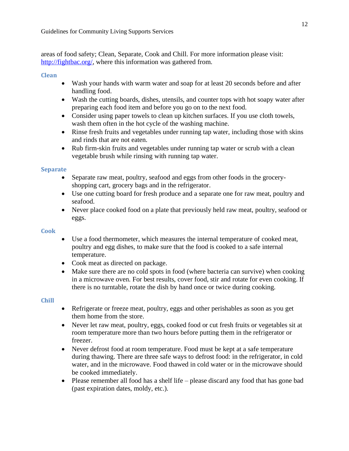areas of food safety; Clean, Separate, Cook and Chill. For more information please visit: [http://fightbac.org/,](http://fightbac.org/) where this information was gathered from.

#### <span id="page-11-0"></span>**Clean**

- Wash your hands with warm water and soap for at least 20 seconds before and after handling food.
- Wash the cutting boards, dishes, utensils, and counter tops with hot soapy water after preparing each food item and before you go on to the next food.
- Consider using paper towels to clean up kitchen surfaces. If you use cloth towels, wash them often in the hot cycle of the washing machine.
- Rinse fresh fruits and vegetables under running tap water, including those with skins and rinds that are not eaten.
- Rub firm-skin fruits and vegetables under running tap water or scrub with a clean vegetable brush while rinsing with running tap water.

#### <span id="page-11-1"></span>**Separate**

- Separate raw meat, poultry, seafood and eggs from other foods in the groceryshopping cart, grocery bags and in the refrigerator.
- Use one cutting board for fresh produce and a separate one for raw meat, poultry and seafood.
- Never place cooked food on a plate that previously held raw meat, poultry, seafood or eggs.

#### <span id="page-11-2"></span>**Cook**

- Use a food thermometer, which measures the internal temperature of cooked meat, poultry and egg dishes, to make sure that the food is cooked to a safe internal temperature.
- Cook meat as directed on package.
- Make sure there are no cold spots in food (where bacteria can survive) when cooking in a microwave oven. For best results, cover food, stir and rotate for even cooking. If there is no turntable, rotate the dish by hand once or twice during cooking.

#### <span id="page-11-3"></span>**Chill**

- Refrigerate or freeze meat, poultry, eggs and other perishables as soon as you get them home from the store.
- Never let raw meat, poultry, eggs, cooked food or cut fresh fruits or vegetables sit at room temperature more than two hours before putting them in the refrigerator or freezer.
- Never defrost food at room temperature. Food must be kept at a safe temperature during thawing. There are three safe ways to defrost food: in the refrigerator, in cold water, and in the microwave. Food thawed in cold water or in the microwave should be cooked immediately.
- Please remember all food has a shelf life please discard any food that has gone bad (past expiration dates, moldy, etc.).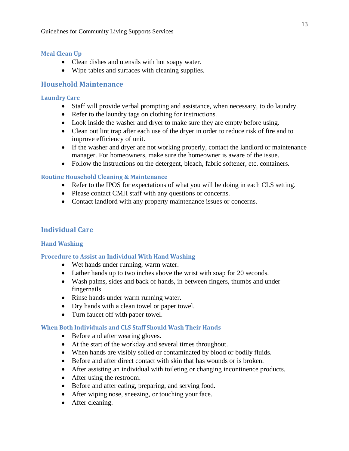#### <span id="page-12-0"></span>**Meal Clean Up**

- Clean dishes and utensils with hot soapy water.
- Wipe tables and surfaces with cleaning supplies.

#### <span id="page-12-1"></span>**Household Maintenance**

#### <span id="page-12-2"></span>**Laundry Care**

- Staff will provide verbal prompting and assistance, when necessary, to do laundry.
- Refer to the laundry tags on clothing for instructions.
- Look inside the washer and dryer to make sure they are empty before using.
- Clean out lint trap after each use of the dryer in order to reduce risk of fire and to improve efficiency of unit.
- If the washer and dryer are not working properly, contact the landlord or maintenance manager. For homeowners, make sure the homeowner is aware of the issue.
- Follow the instructions on the detergent, bleach, fabric softener, etc. containers.

#### <span id="page-12-3"></span>**Routine Household Cleaning & Maintenance**

- Refer to the IPOS for expectations of what you will be doing in each CLS setting.
- Please contact CMH staff with any questions or concerns.
- Contact landlord with any property maintenance issues or concerns.

## <span id="page-12-4"></span>**Individual Care**

#### <span id="page-12-5"></span>**Hand Washing**

#### <span id="page-12-6"></span>**Procedure to Assist an Individual With Hand Washing**

- Wet hands under running, warm water.
- Lather hands up to two inches above the wrist with soap for 20 seconds.
- Wash palms, sides and back of hands, in between fingers, thumbs and under fingernails.
- Rinse hands under warm running water.
- Dry hands with a clean towel or paper towel.
- Turn faucet off with paper towel.

#### <span id="page-12-7"></span>**When Both Individuals and CLS Staff Should Wash Their Hands**

- Before and after wearing gloves.
- At the start of the workday and several times throughout.
- When hands are visibly soiled or contaminated by blood or bodily fluids.
- Before and after direct contact with skin that has wounds or is broken.
- After assisting an individual with toileting or changing incontinence products.
- After using the restroom.
- Before and after eating, preparing, and serving food.
- After wiping nose, sneezing, or touching your face.
- After cleaning.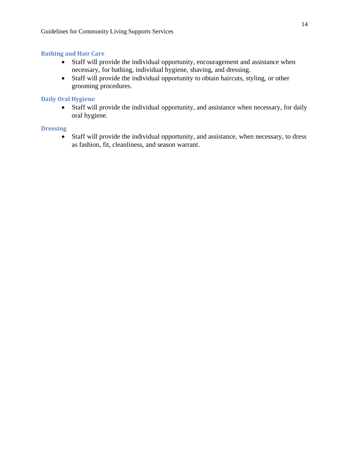#### <span id="page-13-0"></span>**Bathing and Hair Care**

- Staff will provide the individual opportunity, encouragement and assistance when necessary, for bathing, individual hygiene, shaving, and dressing.
- Staff will provide the individual opportunity to obtain haircuts, styling, or other grooming procedures.

#### <span id="page-13-1"></span>**Daily Oral Hygiene**

• Staff will provide the individual opportunity, and assistance when necessary, for daily oral hygiene.

#### <span id="page-13-2"></span>**Dressing**

• Staff will provide the individual opportunity, and assistance, when necessary, to dress as fashion, fit, cleanliness, and season warrant.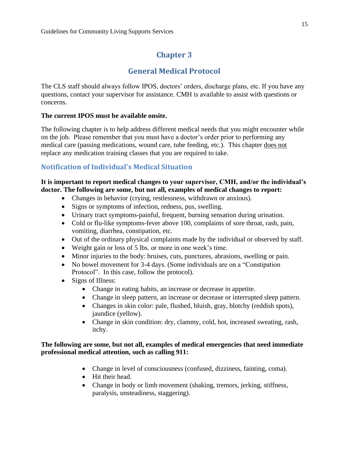## **General Medical Protocol**

<span id="page-14-1"></span><span id="page-14-0"></span>The CLS staff should always follow IPOS, doctors' orders, discharge plans, etc. If you have any questions, contact your supervisor for assistance. CMH is available to assist with questions or concerns.

## **The current IPOS must be available onsite.**

The following chapter is to help address different medical needs that you might encounter while on the job. Please remember that you must have a doctor's order prior to performing any medical care (passing medications, wound care, tube feeding, etc.). This chapter does not replace any medication training classes that you are required to take.

## <span id="page-14-2"></span>**Notification of Individual's Medical Situation**

## **It is important to report medical changes to your supervisor, CMH, and/or the individual's doctor. The following are some, but not all, examples of medical changes to report:**

- Changes in behavior (crying, restlessness, withdrawn or anxious).
- Signs or symptoms of infection, redness, pus, swelling.
- Urinary tract symptoms-painful, frequent, burning sensation during urination.
- Cold or flu-like symptoms-fever above 100, complaints of sore throat, rash, pain, vomiting, diarrhea, constipation, etc.
- Out of the ordinary physical complaints made by the individual or observed by staff.
- Weight gain or loss of 5 lbs. or more in one week's time.
- Minor injuries to the body: bruises, cuts, punctures, abrasions, swelling or pain.
- No bowel movement for 3-4 days. (Some individuals are on a "Constipation" Protocol". In this case, follow the protocol).
- Signs of Illness:
	- Change in eating habits, an increase or decrease in appetite.
	- Change in sleep pattern, an increase or decrease or interrupted sleep pattern.
	- Changes in skin color: pale, flushed, bluish, gray, blotchy (reddish spots), jaundice (yellow).
	- Change in skin condition: dry, clammy, cold, hot, increased sweating, rash, itchy.

#### **The following are some, but not all, examples of medical emergencies that need immediate professional medical attention, such as calling 911:**

- Change in level of consciousness (confused, dizziness, fainting, coma).
- Hit their head.
- Change in body or limb movement (shaking, tremors, jerking, stiffness, paralysis, unsteadiness, staggering).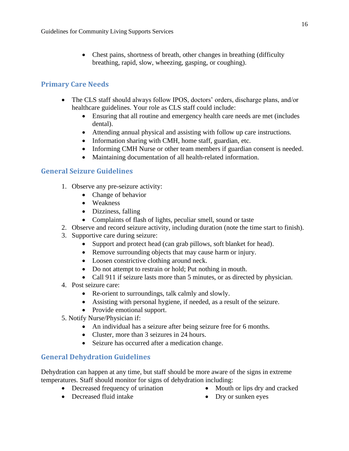• Chest pains, shortness of breath, other changes in breathing (difficulty breathing, rapid, slow, wheezing, gasping, or coughing).

## <span id="page-15-0"></span>**Primary Care Needs**

- The CLS staff should always follow IPOS, doctors' orders, discharge plans, and/or healthcare guidelines. Your role as CLS staff could include:
	- Ensuring that all routine and emergency health care needs are met (includes dental).
	- Attending annual physical and assisting with follow up care instructions.
	- Information sharing with CMH, home staff, guardian, etc.
	- Informing CMH Nurse or other team members if guardian consent is needed.
	- Maintaining documentation of all health-related information.

## <span id="page-15-1"></span>**General Seizure Guidelines**

- 1. Observe any pre-seizure activity:
	- Change of behavior
	- Weakness
	- Dizziness, falling
	- Complaints of flash of lights, peculiar smell, sound or taste
- 2. Observe and record seizure activity, including duration (note the time start to finish).
- 3. Supportive care during seizure:
	- Support and protect head (can grab pillows, soft blanket for head).
	- Remove surrounding objects that may cause harm or injury.
	- Loosen constrictive clothing around neck.
	- Do not attempt to restrain or hold; Put nothing in mouth.
	- Call 911 if seizure lasts more than 5 minutes, or as directed by physician.
- 4. Post seizure care:
	- Re-orient to surroundings, talk calmly and slowly.
	- Assisting with personal hygiene, if needed, as a result of the seizure.
	- Provide emotional support.
- 5. Notify Nurse/Physician if:
	- An individual has a seizure after being seizure free for 6 months.
	- Cluster, more than 3 seizures in 24 hours.
	- Seizure has occurred after a medication change.

## <span id="page-15-2"></span>**General Dehydration Guidelines**

• Decreased fluid intake

Dehydration can happen at any time, but staff should be more aware of the signs in extreme temperatures. Staff should monitor for signs of dehydration including:

- Decreased frequency of urination
- Mouth or lips dry and cracked
- Dry or sunken eyes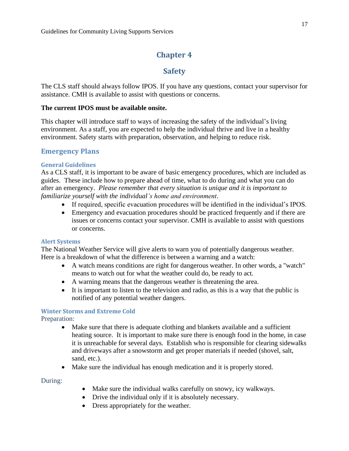## **Safety**

<span id="page-16-1"></span><span id="page-16-0"></span>The CLS staff should always follow IPOS. If you have any questions, contact your supervisor for assistance. CMH is available to assist with questions or concerns.

#### **The current IPOS must be available onsite.**

This chapter will introduce staff to ways of increasing the safety of the individual's living environment. As a staff, you are expected to help the individual thrive and live in a healthy environment. Safety starts with preparation, observation, and helping to reduce risk.

#### <span id="page-16-2"></span>**Emergency Plans**

#### <span id="page-16-3"></span>**General Guidelines**

As a CLS staff, it is important to be aware of basic emergency procedures, which are included as guides. These include how to prepare ahead of time, what to do during and what you can do after an emergency. *Please remember that every situation is unique and it is important to familiarize yourself with the individual's home and environment*.

- If required, specific evacuation procedures will be identified in the individual's IPOS.
- Emergency and evacuation procedures should be practiced frequently and if there are issues or concerns contact your supervisor. CMH is available to assist with questions or concerns.

#### <span id="page-16-4"></span>**Alert Systems**

The National Weather Service will give alerts to warn you of potentially dangerous weather. Here is a breakdown of what the difference is between a warning and a watch:

- A watch means conditions are right for dangerous weather. In other words, a "watch" means to watch out for what the weather could do, be ready to act.
- A warning means that the dangerous weather is threatening the area.
- It is important to listen to the television and radio, as this is a way that the public is notified of any potential weather dangers.

#### <span id="page-16-5"></span>**Winter Storms and Extreme Cold**

Preparation:

- Make sure that there is adequate clothing and blankets available and a sufficient heating source. It is important to make sure there is enough food in the home, in case it is unreachable for several days. Establish who is responsible for clearing sidewalks and driveways after a snowstorm and get proper materials if needed (shovel, salt, sand, etc.).
- Make sure the individual has enough medication and it is properly stored.

#### During:

- Make sure the individual walks carefully on snowy, icy walkways.
- Drive the individual only if it is absolutely necessary.
- Dress appropriately for the weather.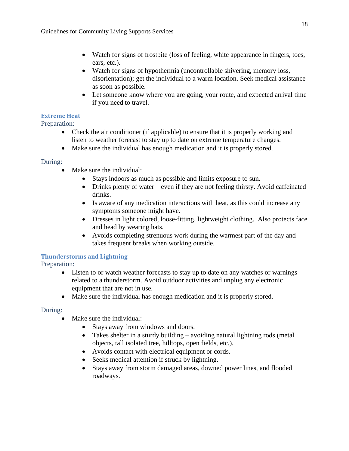- Watch for signs of frostbite (loss of feeling, white appearance in fingers, toes, ears, etc.).
- Watch for signs of hypothermia (uncontrollable shivering, memory loss, disorientation); get the individual to a warm location. Seek medical assistance as soon as possible.
- Let someone know where you are going, your route, and expected arrival time if you need to travel.

#### <span id="page-17-0"></span>**Extreme Heat**

Preparation:

- Check the air conditioner (if applicable) to ensure that it is properly working and listen to weather forecast to stay up to date on extreme temperature changes.
- Make sure the individual has enough medication and it is properly stored.

#### During:

- Make sure the individual:
	- Stays indoors as much as possible and limits exposure to sun.
	- Drinks plenty of water even if they are not feeling thirsty. Avoid caffeinated drinks.
	- Is aware of any medication interactions with heat, as this could increase any symptoms someone might have.
	- Dresses in light colored, loose-fitting, lightweight clothing. Also protects face and head by wearing hats.
	- Avoids completing strenuous work during the warmest part of the day and takes frequent breaks when working outside.

## <span id="page-17-1"></span>**Thunderstorms and Lightning**

Preparation:

- Listen to or watch weather forecasts to stay up to date on any watches or warnings related to a thunderstorm. Avoid outdoor activities and unplug any electronic equipment that are not in use.
- Make sure the individual has enough medication and it is properly stored.

#### During:

- Make sure the individual:
	- Stays away from windows and doors.
	- Takes shelter in a sturdy building avoiding natural lightning rods (metal objects, tall isolated tree, hilltops, open fields, etc.).
	- Avoids contact with electrical equipment or cords.
	- Seeks medical attention if struck by lightning.
	- Stays away from storm damaged areas, downed power lines, and flooded roadways.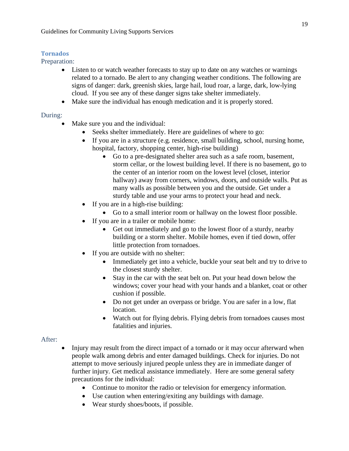#### <span id="page-18-0"></span>**Tornados**

Preparation:

- Listen to or watch weather forecasts to stay up to date on any watches or warnings related to a tornado. Be alert to any changing weather conditions. The following are signs of danger: dark, greenish skies, large hail, loud roar, a large, dark, low-lying cloud. If you see any of these danger signs take shelter immediately.
- Make sure the individual has enough medication and it is properly stored.

#### During:

- Make sure you and the individual:
	- Seeks shelter immediately. Here are guidelines of where to go:
	- If you are in a structure (e.g. residence, small building, school, nursing home, hospital, factory, shopping center, high-rise building)
		- Go to a pre-designated shelter area such as a safe room, basement, storm cellar, or the lowest building level. If there is no basement, go to the center of an interior room on the lowest level (closet, interior hallway) away from corners, windows, doors, and outside walls. Put as many walls as possible between you and the outside. Get under a sturdy table and use your arms to protect your head and neck.
	- If you are in a high-rise building:
		- Go to a small interior room or hallway on the lowest floor possible.
	- If you are in a trailer or mobile home:
		- Get out immediately and go to the lowest floor of a sturdy, nearby building or a storm shelter. Mobile homes, even if tied down, offer little protection from tornadoes.
	- If you are outside with no shelter:
		- Immediately get into a vehicle, buckle your seat belt and try to drive to the closest sturdy shelter.
		- Stay in the car with the seat belt on. Put your head down below the windows; cover your head with your hands and a blanket, coat or other cushion if possible.
		- Do not get under an overpass or bridge. You are safer in a low, flat location.
		- Watch out for flying debris. Flying debris from tornadoes causes most fatalities and injuries.

#### After:

- Injury may result from the direct impact of a tornado or it may occur afterward when people walk among debris and enter damaged buildings. Check for injuries. Do not attempt to move seriously injured people unless they are in immediate danger of further injury. Get medical assistance immediately. Here are some general safety precautions for the individual:
	- Continue to monitor the radio or television for emergency information.
	- Use caution when entering/exiting any buildings with damage.
	- Wear sturdy shoes/boots, if possible.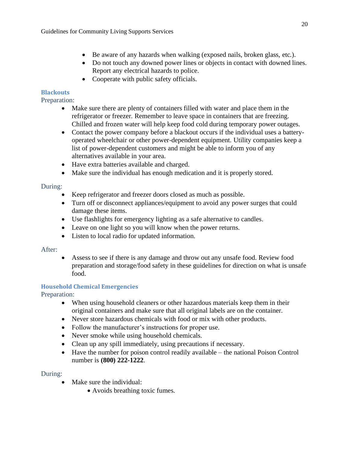- Be aware of any hazards when walking (exposed nails, broken glass, etc.).
- Do not touch any downed power lines or objects in contact with downed lines. Report any electrical hazards to police.
- Cooperate with public safety officials.

## <span id="page-19-0"></span>**Blackouts**

Preparation:

- Make sure there are plenty of containers filled with water and place them in the refrigerator or freezer. Remember to leave space in containers that are freezing. Chilled and frozen water will help keep food cold during temporary power outages.
- Contact the power company before a blackout occurs if the individual uses a batteryoperated wheelchair or other power-dependent equipment. Utility companies keep a list of power-dependent customers and might be able to inform you of any alternatives available in your area.
- Have extra batteries available and charged.
- Make sure the individual has enough medication and it is properly stored.

## During:

- Keep refrigerator and freezer doors closed as much as possible.
- Turn off or disconnect appliances/equipment to avoid any power surges that could damage these items.
- Use flashlights for emergency lighting as a safe alternative to candles.
- Leave on one light so you will know when the power returns.
- Listen to local radio for updated information.

## After:

• Assess to see if there is any damage and throw out any unsafe food. Review food preparation and storage/food safety in these guidelines for direction on what is unsafe food.

## <span id="page-19-1"></span>**Household Chemical Emergencies**

Preparation:

- When using household cleaners or other hazardous materials keep them in their original containers and make sure that all original labels are on the container.
- Never store hazardous chemicals with food or mix with other products.
- Follow the manufacturer's instructions for proper use.
- Never smoke while using household chemicals.
- Clean up any spill immediately, using precautions if necessary.
- Have the number for poison control readily available the national Poison Control number is **(800) 222-1222**.

## During:

- Make sure the individual:
	- Avoids breathing toxic fumes.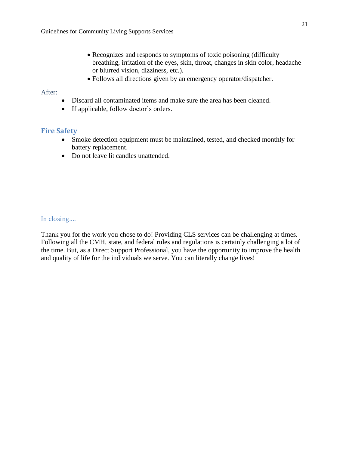- Recognizes and responds to symptoms of toxic poisoning (difficulty breathing, irritation of the eyes, skin, throat, changes in skin color, headache or blurred vision, dizziness, etc.).
- Follows all directions given by an emergency operator/dispatcher.

#### After:

- Discard all contaminated items and make sure the area has been cleaned.
- If applicable, follow doctor's orders.

#### <span id="page-20-0"></span>**Fire Safety**

- Smoke detection equipment must be maintained, tested, and checked monthly for battery replacement.
- Do not leave lit candles unattended.

#### In closing….

Thank you for the work you chose to do! Providing CLS services can be challenging at times. Following all the CMH, state, and federal rules and regulations is certainly challenging a lot of the time. But, as a Direct Support Professional, you have the opportunity to improve the health and quality of life for the individuals we serve. You can literally change lives!